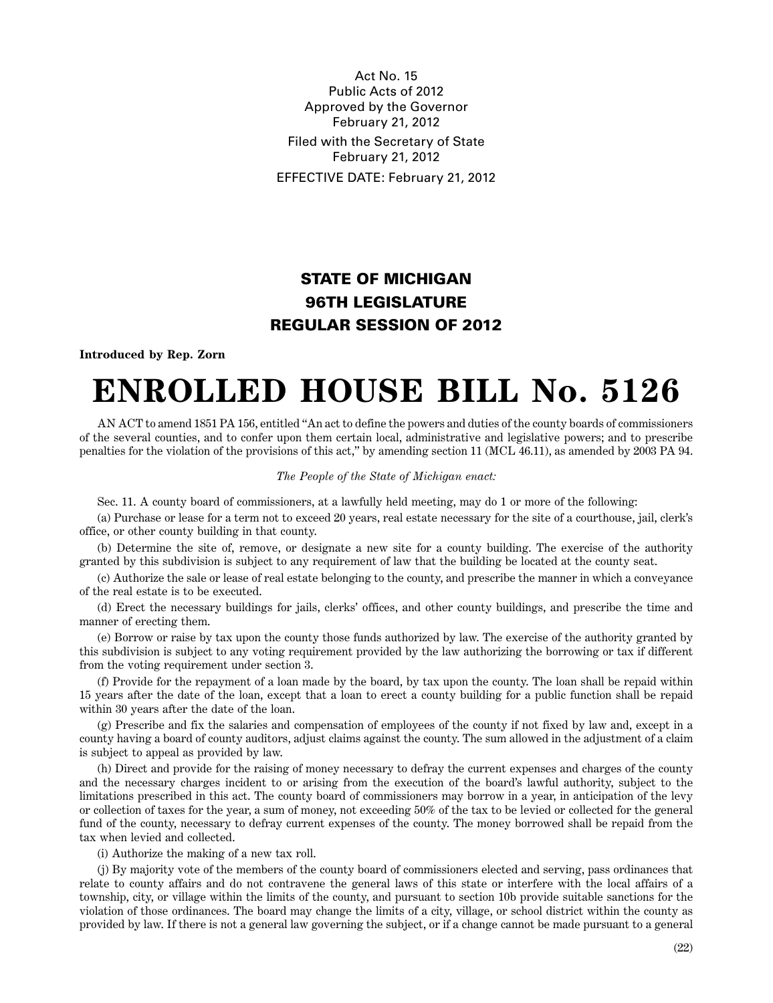Act No. 15 Public Acts of 2012 Approved by the Governor February 21, 2012 Filed with the Secretary of State February 21, 2012 EFFECTIVE DATE: February 21, 2012

## **STATE OF MICHIGAN 96TH LEGISLATURE REGULAR SESSION OF 2012**

**Introduced by Rep. Zorn**

## **ENROLLED HOUSE BILL No. 5126**

AN ACT to amend 1851 PA 156, entitled "An act to define the powers and duties of the county boards of commissioners of the several counties, and to confer upon them certain local, administrative and legislative powers; and to prescribe penalties for the violation of the provisions of this act," by amending section 11 (MCL 46.11), as amended by 2003 PA 94.

## *The People of the State of Michigan enact:*

Sec. 11. A county board of commissioners, at a lawfully held meeting, may do 1 or more of the following:

(a) Purchase or lease for a term not to exceed 20 years, real estate necessary for the site of a courthouse, jail, clerk's office, or other county building in that county.

(b) Determine the site of, remove, or designate a new site for a county building. The exercise of the authority granted by this subdivision is subject to any requirement of law that the building be located at the county seat.

(c) Authorize the sale or lease of real estate belonging to the county, and prescribe the manner in which a conveyance of the real estate is to be executed.

(d) Erect the necessary buildings for jails, clerks' offices, and other county buildings, and prescribe the time and manner of erecting them.

(e) Borrow or raise by tax upon the county those funds authorized by law. The exercise of the authority granted by this subdivision is subject to any voting requirement provided by the law authorizing the borrowing or tax if different from the voting requirement under section 3.

(f) Provide for the repayment of a loan made by the board, by tax upon the county. The loan shall be repaid within 15 years after the date of the loan, except that a loan to erect a county building for a public function shall be repaid within 30 years after the date of the loan.

(g) Prescribe and fix the salaries and compensation of employees of the county if not fixed by law and, except in a county having a board of county auditors, adjust claims against the county. The sum allowed in the adjustment of a claim is subject to appeal as provided by law.

(h) Direct and provide for the raising of money necessary to defray the current expenses and charges of the county and the necessary charges incident to or arising from the execution of the board's lawful authority, subject to the limitations prescribed in this act. The county board of commissioners may borrow in a year, in anticipation of the levy or collection of taxes for the year, a sum of money, not exceeding 50% of the tax to be levied or collected for the general fund of the county, necessary to defray current expenses of the county. The money borrowed shall be repaid from the tax when levied and collected.

(i) Authorize the making of a new tax roll.

(j) By majority vote of the members of the county board of commissioners elected and serving, pass ordinances that relate to county affairs and do not contravene the general laws of this state or interfere with the local affairs of a township, city, or village within the limits of the county, and pursuant to section 10b provide suitable sanctions for the violation of those ordinances. The board may change the limits of a city, village, or school district within the county as provided by law. If there is not a general law governing the subject, or if a change cannot be made pursuant to a general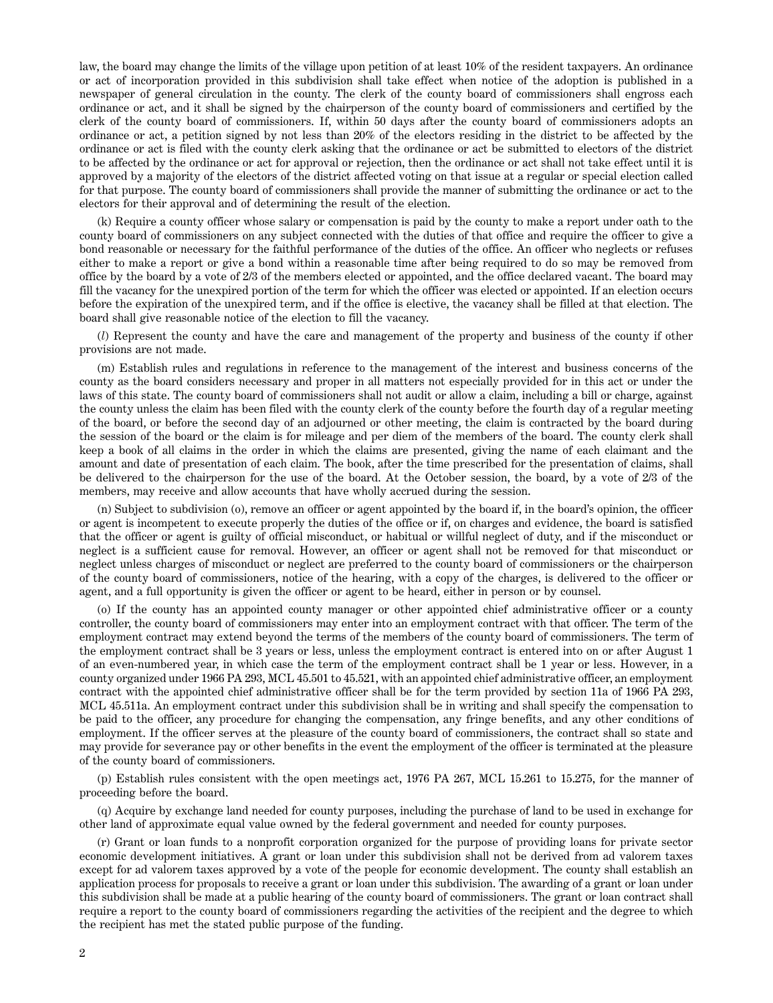law, the board may change the limits of the village upon petition of at least 10% of the resident taxpayers. An ordinance or act of incorporation provided in this subdivision shall take effect when notice of the adoption is published in a newspaper of general circulation in the county. The clerk of the county board of commissioners shall engross each ordinance or act, and it shall be signed by the chairperson of the county board of commissioners and certified by the clerk of the county board of commissioners. If, within 50 days after the county board of commissioners adopts an ordinance or act, a petition signed by not less than 20% of the electors residing in the district to be affected by the ordinance or act is filed with the county clerk asking that the ordinance or act be submitted to electors of the district to be affected by the ordinance or act for approval or rejection, then the ordinance or act shall not take effect until it is approved by a majority of the electors of the district affected voting on that issue at a regular or special election called for that purpose. The county board of commissioners shall provide the manner of submitting the ordinance or act to the electors for their approval and of determining the result of the election.

(k) Require a county officer whose salary or compensation is paid by the county to make a report under oath to the county board of commissioners on any subject connected with the duties of that office and require the officer to give a bond reasonable or necessary for the faithful performance of the duties of the office. An officer who neglects or refuses either to make a report or give a bond within a reasonable time after being required to do so may be removed from office by the board by a vote of 2/3 of the members elected or appointed, and the office declared vacant. The board may fill the vacancy for the unexpired portion of the term for which the officer was elected or appointed. If an election occurs before the expiration of the unexpired term, and if the office is elective, the vacancy shall be filled at that election. The board shall give reasonable notice of the election to fill the vacancy.

(*l*) Represent the county and have the care and management of the property and business of the county if other provisions are not made.

(m) Establish rules and regulations in reference to the management of the interest and business concerns of the county as the board considers necessary and proper in all matters not especially provided for in this act or under the laws of this state. The county board of commissioners shall not audit or allow a claim, including a bill or charge, against the county unless the claim has been filed with the county clerk of the county before the fourth day of a regular meeting of the board, or before the second day of an adjourned or other meeting, the claim is contracted by the board during the session of the board or the claim is for mileage and per diem of the members of the board. The county clerk shall keep a book of all claims in the order in which the claims are presented, giving the name of each claimant and the amount and date of presentation of each claim. The book, after the time prescribed for the presentation of claims, shall be delivered to the chairperson for the use of the board. At the October session, the board, by a vote of 2/3 of the members, may receive and allow accounts that have wholly accrued during the session.

(n) Subject to subdivision (o), remove an officer or agent appointed by the board if, in the board's opinion, the officer or agent is incompetent to execute properly the duties of the office or if, on charges and evidence, the board is satisfied that the officer or agent is guilty of official misconduct, or habitual or willful neglect of duty, and if the misconduct or neglect is a sufficient cause for removal. However, an officer or agent shall not be removed for that misconduct or neglect unless charges of misconduct or neglect are preferred to the county board of commissioners or the chairperson of the county board of commissioners, notice of the hearing, with a copy of the charges, is delivered to the officer or agent, and a full opportunity is given the officer or agent to be heard, either in person or by counsel.

(o) If the county has an appointed county manager or other appointed chief administrative officer or a county controller, the county board of commissioners may enter into an employment contract with that officer. The term of the employment contract may extend beyond the terms of the members of the county board of commissioners. The term of the employment contract shall be 3 years or less, unless the employment contract is entered into on or after August 1 of an even-numbered year, in which case the term of the employment contract shall be 1 year or less. However, in a county organized under 1966 PA 293, MCL 45.501 to 45.521, with an appointed chief administrative officer, an employment contract with the appointed chief administrative officer shall be for the term provided by section 11a of 1966 PA 293, MCL 45.511a. An employment contract under this subdivision shall be in writing and shall specify the compensation to be paid to the officer, any procedure for changing the compensation, any fringe benefits, and any other conditions of employment. If the officer serves at the pleasure of the county board of commissioners, the contract shall so state and may provide for severance pay or other benefits in the event the employment of the officer is terminated at the pleasure of the county board of commissioners.

(p) Establish rules consistent with the open meetings act, 1976 PA 267, MCL 15.261 to 15.275, for the manner of proceeding before the board.

(q) Acquire by exchange land needed for county purposes, including the purchase of land to be used in exchange for other land of approximate equal value owned by the federal government and needed for county purposes.

(r) Grant or loan funds to a nonprofit corporation organized for the purpose of providing loans for private sector economic development initiatives. A grant or loan under this subdivision shall not be derived from ad valorem taxes except for ad valorem taxes approved by a vote of the people for economic development. The county shall establish an application process for proposals to receive a grant or loan under this subdivision. The awarding of a grant or loan under this subdivision shall be made at a public hearing of the county board of commissioners. The grant or loan contract shall require a report to the county board of commissioners regarding the activities of the recipient and the degree to which the recipient has met the stated public purpose of the funding.